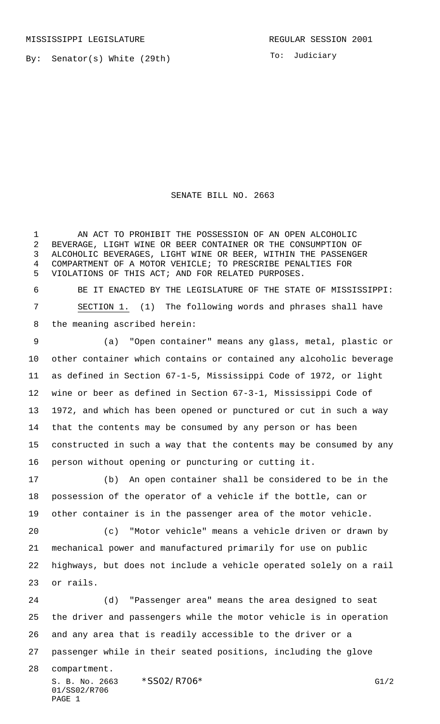MISSISSIPPI LEGISLATURE **REGULAR SESSION 2001** 

By: Senator(s) White (29th)

To: Judiciary

## SENATE BILL NO. 2663

 AN ACT TO PROHIBIT THE POSSESSION OF AN OPEN ALCOHOLIC BEVERAGE, LIGHT WINE OR BEER CONTAINER OR THE CONSUMPTION OF ALCOHOLIC BEVERAGES, LIGHT WINE OR BEER, WITHIN THE PASSENGER COMPARTMENT OF A MOTOR VEHICLE; TO PRESCRIBE PENALTIES FOR VIOLATIONS OF THIS ACT; AND FOR RELATED PURPOSES.

 BE IT ENACTED BY THE LEGISLATURE OF THE STATE OF MISSISSIPPI: SECTION 1. (1) The following words and phrases shall have the meaning ascribed herein:

 (a) "Open container" means any glass, metal, plastic or other container which contains or contained any alcoholic beverage as defined in Section 67-1-5, Mississippi Code of 1972, or light wine or beer as defined in Section 67-3-1, Mississippi Code of 1972, and which has been opened or punctured or cut in such a way that the contents may be consumed by any person or has been constructed in such a way that the contents may be consumed by any person without opening or puncturing or cutting it.

 (b) An open container shall be considered to be in the possession of the operator of a vehicle if the bottle, can or other container is in the passenger area of the motor vehicle.

 (c) "Motor vehicle" means a vehicle driven or drawn by mechanical power and manufactured primarily for use on public highways, but does not include a vehicle operated solely on a rail or rails.

 (d) "Passenger area" means the area designed to seat the driver and passengers while the motor vehicle is in operation and any area that is readily accessible to the driver or a passenger while in their seated positions, including the glove

compartment.

S. B. No. 2663  $*SSO2/R706*$  G1/2 01/SS02/R706 PAGE 1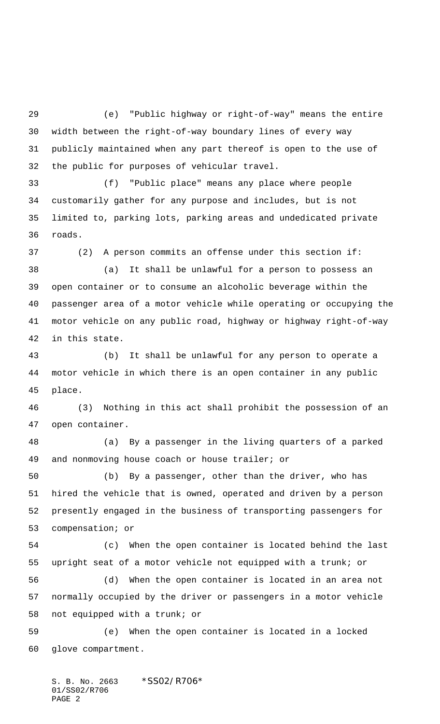(e) "Public highway or right-of-way" means the entire width between the right-of-way boundary lines of every way publicly maintained when any part thereof is open to the use of the public for purposes of vehicular travel.

 (f) "Public place" means any place where people customarily gather for any purpose and includes, but is not limited to, parking lots, parking areas and undedicated private roads.

 (2) A person commits an offense under this section if: (a) It shall be unlawful for a person to possess an open container or to consume an alcoholic beverage within the passenger area of a motor vehicle while operating or occupying the motor vehicle on any public road, highway or highway right-of-way in this state.

 (b) It shall be unlawful for any person to operate a motor vehicle in which there is an open container in any public place.

 (3) Nothing in this act shall prohibit the possession of an open container.

 (a) By a passenger in the living quarters of a parked and nonmoving house coach or house trailer; or

 (b) By a passenger, other than the driver, who has hired the vehicle that is owned, operated and driven by a person presently engaged in the business of transporting passengers for compensation; or

 (c) When the open container is located behind the last upright seat of a motor vehicle not equipped with a trunk; or

 (d) When the open container is located in an area not normally occupied by the driver or passengers in a motor vehicle not equipped with a trunk; or

 (e) When the open container is located in a locked glove compartment.

S. B. No. 2663 \*SS02/R706\* 01/SS02/R706 PAGE 2